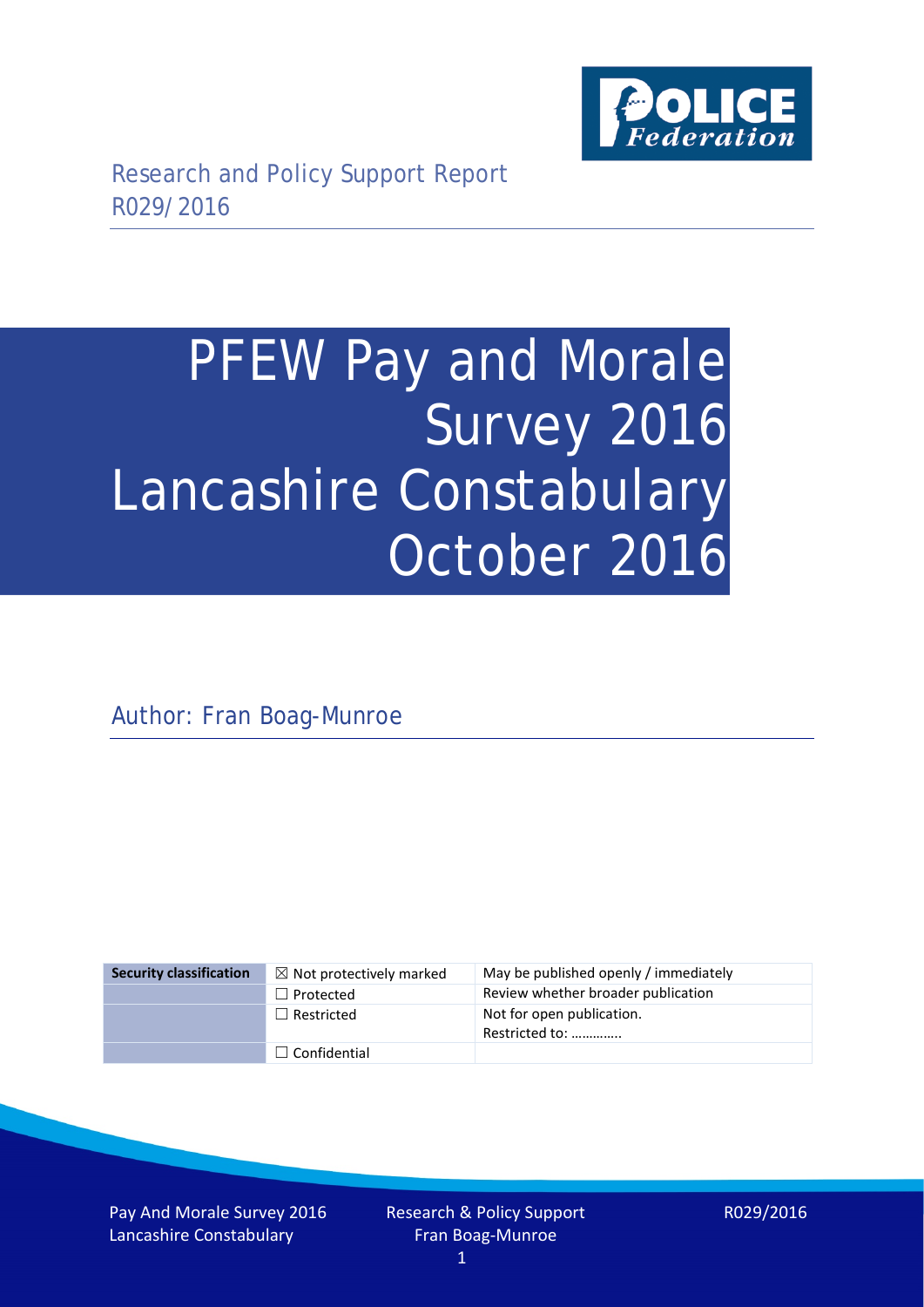

# PFEW Pay and Morale Survey 2016 Lancashire Constabulary October 2016

Author: Fran Boag-Munroe

| <b>Security classification</b> | $\boxtimes$ Not protectively marked | May be published openly / immediately       |
|--------------------------------|-------------------------------------|---------------------------------------------|
|                                | $\Box$ Protected                    | Review whether broader publication          |
|                                | $\Box$ Restricted                   | Not for open publication.<br>Restricted to: |
|                                | $\Box$ Confidential                 |                                             |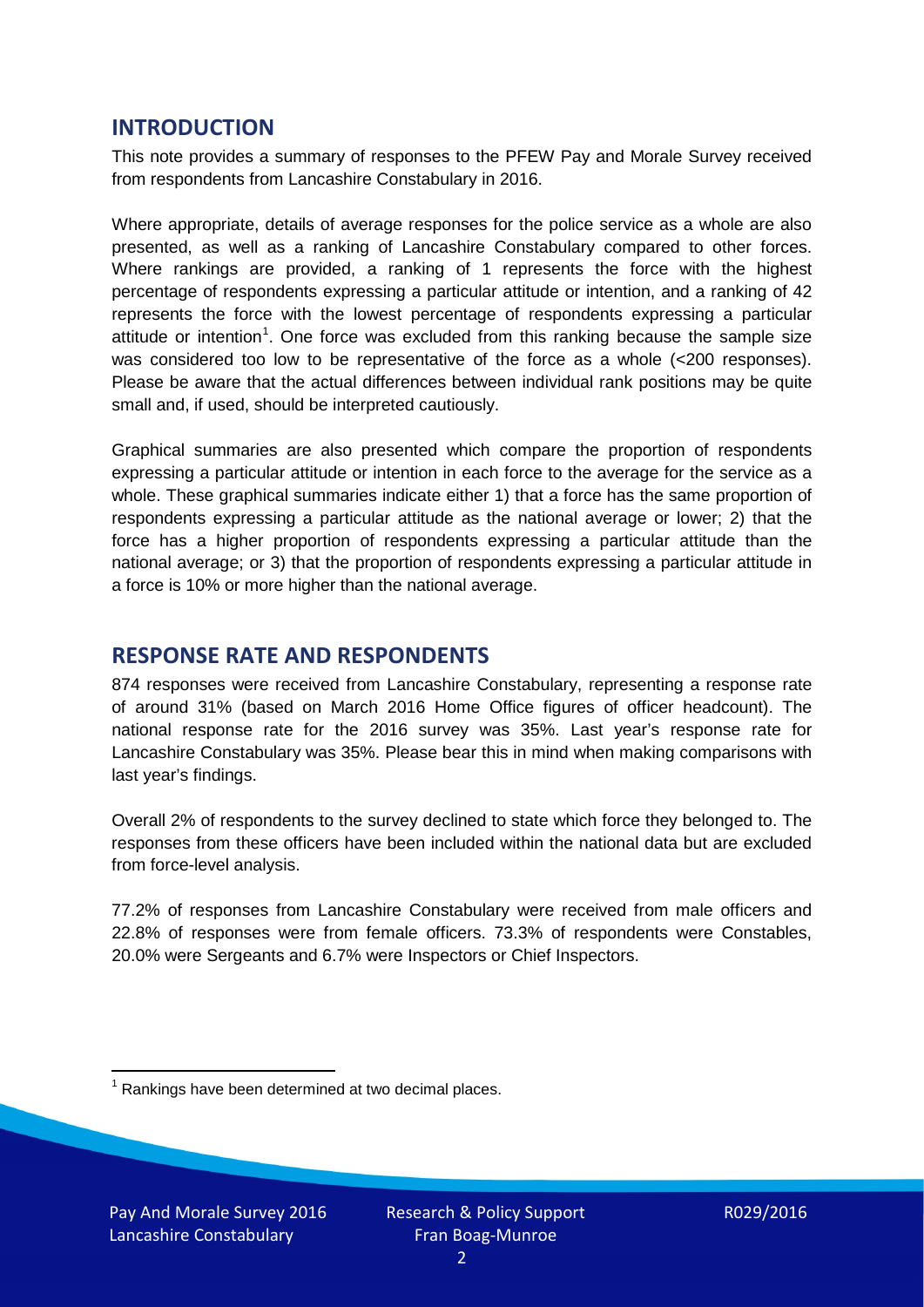## **INTRODUCTION**

This note provides a summary of responses to the PFEW Pay and Morale Survey received from respondents from Lancashire Constabulary in 2016.

Where appropriate, details of average responses for the police service as a whole are also presented, as well as a ranking of Lancashire Constabulary compared to other forces. Where rankings are provided, a ranking of 1 represents the force with the highest percentage of respondents expressing a particular attitude or intention, and a ranking of 42 represents the force with the lowest percentage of respondents expressing a particular attitude or intention<sup>[1](#page-1-0)</sup>. One force was excluded from this ranking because the sample size was considered too low to be representative of the force as a whole (<200 responses). Please be aware that the actual differences between individual rank positions may be quite small and, if used, should be interpreted cautiously.

Graphical summaries are also presented which compare the proportion of respondents expressing a particular attitude or intention in each force to the average for the service as a whole. These graphical summaries indicate either 1) that a force has the same proportion of respondents expressing a particular attitude as the national average or lower; 2) that the force has a higher proportion of respondents expressing a particular attitude than the national average; or 3) that the proportion of respondents expressing a particular attitude in a force is 10% or more higher than the national average.

## **RESPONSE RATE AND RESPONDENTS**

874 responses were received from Lancashire Constabulary, representing a response rate of around 31% (based on March 2016 Home Office figures of officer headcount). The national response rate for the 2016 survey was 35%. Last year's response rate for Lancashire Constabulary was 35%. Please bear this in mind when making comparisons with last year's findings.

Overall 2% of respondents to the survey declined to state which force they belonged to. The responses from these officers have been included within the national data but are excluded from force-level analysis.

77.2% of responses from Lancashire Constabulary were received from male officers and 22.8% of responses were from female officers. 73.3% of respondents were Constables, 20.0% were Sergeants and 6.7% were Inspectors or Chief Inspectors.

<span id="page-1-0"></span> $1$  Rankings have been determined at two decimal places.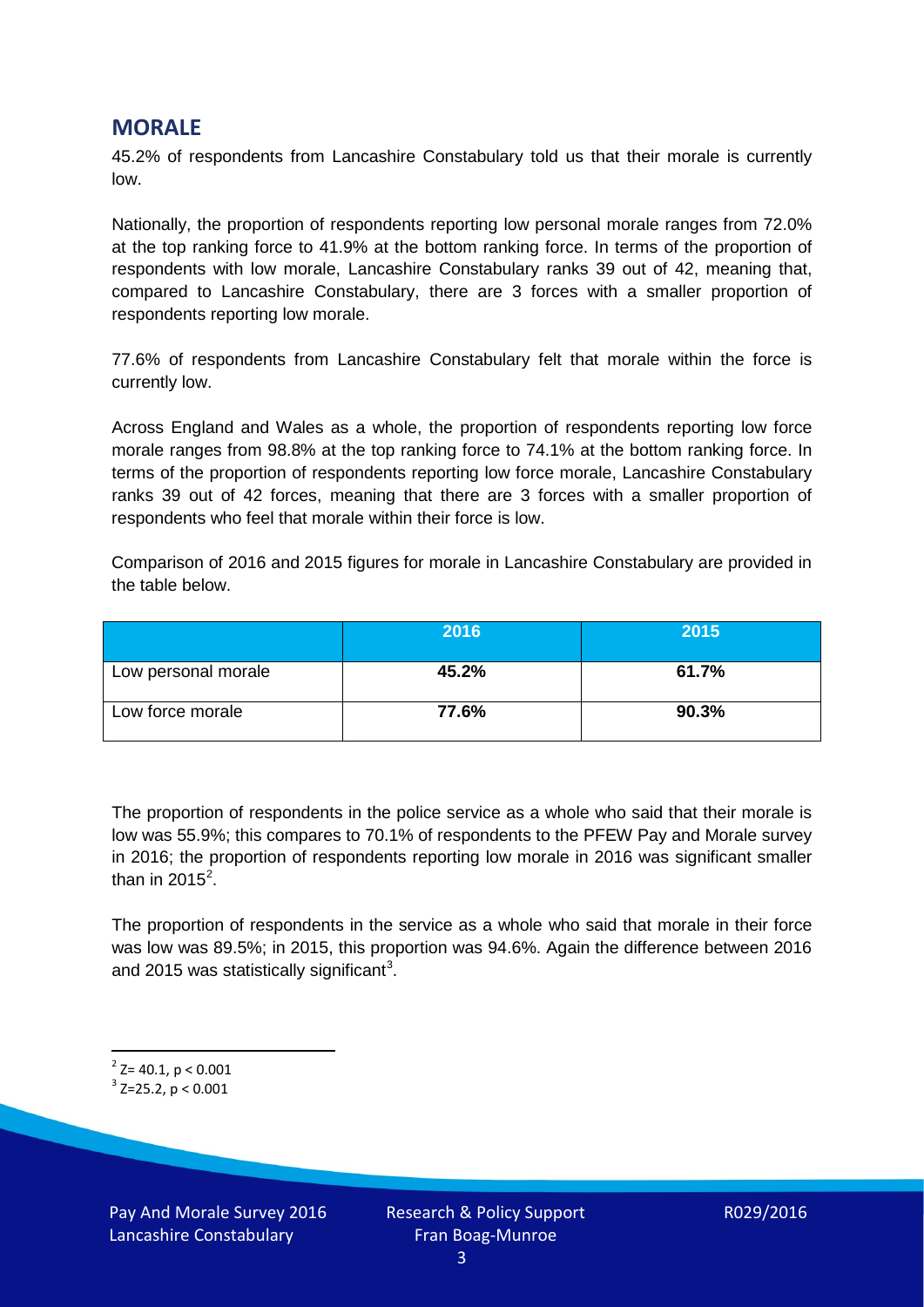## **MORALE**

45.2% of respondents from Lancashire Constabulary told us that their morale is currently low.

Nationally, the proportion of respondents reporting low personal morale ranges from 72.0% at the top ranking force to 41.9% at the bottom ranking force. In terms of the proportion of respondents with low morale, Lancashire Constabulary ranks 39 out of 42, meaning that, compared to Lancashire Constabulary, there are 3 forces with a smaller proportion of respondents reporting low morale.

77.6% of respondents from Lancashire Constabulary felt that morale within the force is currently low.

Across England and Wales as a whole, the proportion of respondents reporting low force morale ranges from 98.8% at the top ranking force to 74.1% at the bottom ranking force. In terms of the proportion of respondents reporting low force morale, Lancashire Constabulary ranks 39 out of 42 forces, meaning that there are 3 forces with a smaller proportion of respondents who feel that morale within their force is low.

Comparison of 2016 and 2015 figures for morale in Lancashire Constabulary are provided in the table below.

|                     | 2016  | 2015  |
|---------------------|-------|-------|
| Low personal morale | 45.2% | 61.7% |
| Low force morale    | 77.6% | 90.3% |

The proportion of respondents in the police service as a whole who said that their morale is low was 55.9%; this compares to 70.1% of respondents to the PFEW Pay and Morale survey in 2016; the proportion of respondents reporting low morale in 2016 was significant smaller than in [2](#page-2-0)015<sup>2</sup>.

The proportion of respondents in the service as a whole who said that morale in their force was low was 89.5%; in 2015, this proportion was 94.6%. Again the difference between 2016 and 2015 was statistically significant<sup>[3](#page-2-1)</sup>.

<span id="page-2-0"></span> $2$ <sup>2</sup> Z= 40.1, p < 0.001

<span id="page-2-1"></span> $3$  Z=25.2, p < 0.001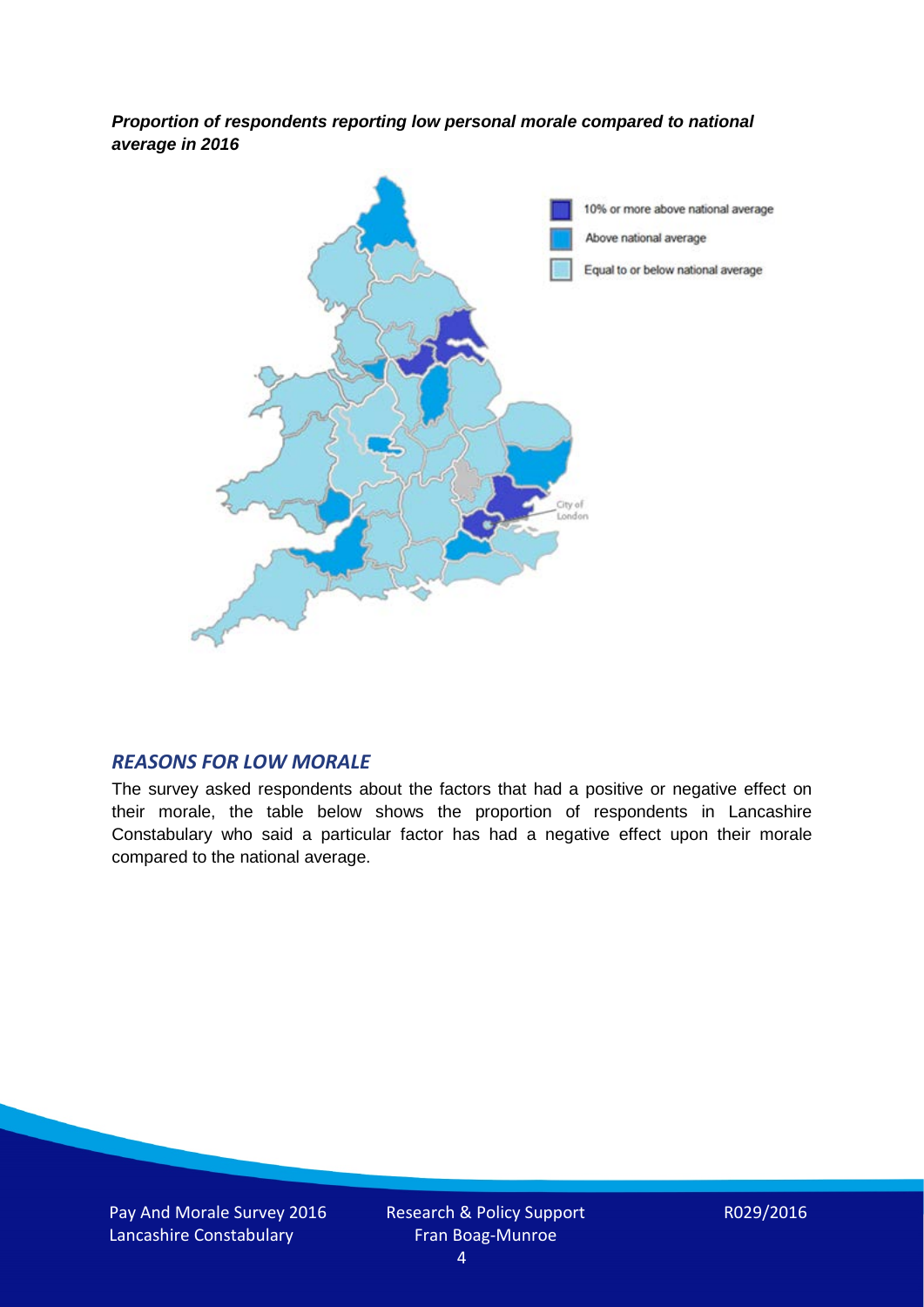*Proportion of respondents reporting low personal morale compared to national average in 2016*



#### *REASONS FOR LOW MORALE*

The survey asked respondents about the factors that had a positive or negative effect on their morale, the table below shows the proportion of respondents in Lancashire Constabulary who said a particular factor has had a negative effect upon their morale compared to the national average.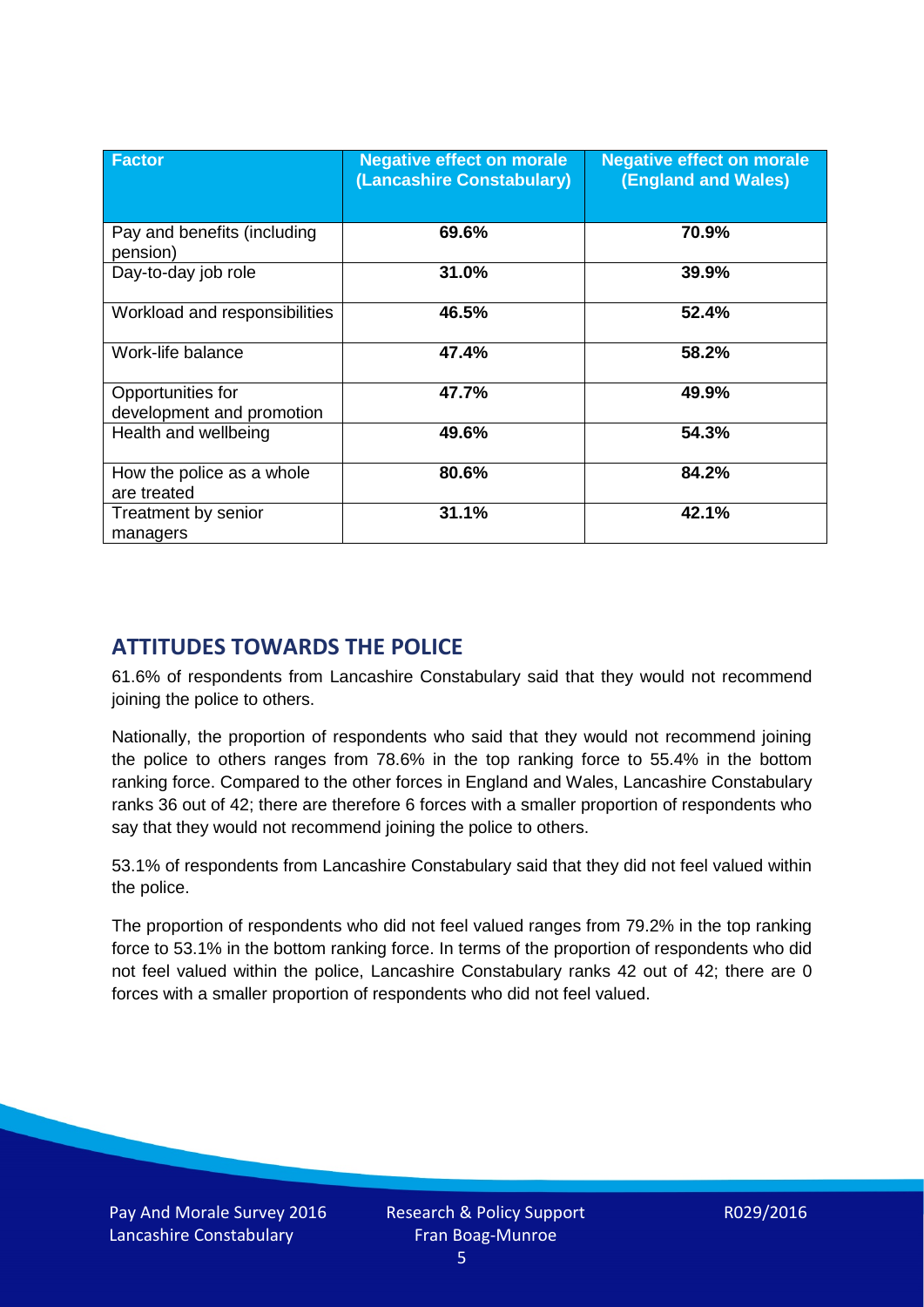| <b>Factor</b>                                  | <b>Negative effect on morale</b><br>(Lancashire Constabulary) | <b>Negative effect on morale</b><br><b>(England and Wales)</b> |
|------------------------------------------------|---------------------------------------------------------------|----------------------------------------------------------------|
| Pay and benefits (including<br>pension)        | 69.6%                                                         | 70.9%                                                          |
| Day-to-day job role                            | 31.0%                                                         | 39.9%                                                          |
| Workload and responsibilities                  | 46.5%                                                         | 52.4%                                                          |
| Work-life balance                              | 47.4%                                                         | 58.2%                                                          |
| Opportunities for<br>development and promotion | 47.7%                                                         | 49.9%                                                          |
| Health and wellbeing                           | 49.6%                                                         | 54.3%                                                          |
| How the police as a whole<br>are treated       | 80.6%                                                         | 84.2%                                                          |
| Treatment by senior<br>managers                | 31.1%                                                         | 42.1%                                                          |

# **ATTITUDES TOWARDS THE POLICE**

61.6% of respondents from Lancashire Constabulary said that they would not recommend joining the police to others.

Nationally, the proportion of respondents who said that they would not recommend joining the police to others ranges from 78.6% in the top ranking force to 55.4% in the bottom ranking force. Compared to the other forces in England and Wales, Lancashire Constabulary ranks 36 out of 42; there are therefore 6 forces with a smaller proportion of respondents who say that they would not recommend joining the police to others.

53.1% of respondents from Lancashire Constabulary said that they did not feel valued within the police.

The proportion of respondents who did not feel valued ranges from 79.2% in the top ranking force to 53.1% in the bottom ranking force. In terms of the proportion of respondents who did not feel valued within the police, Lancashire Constabulary ranks 42 out of 42; there are 0 forces with a smaller proportion of respondents who did not feel valued.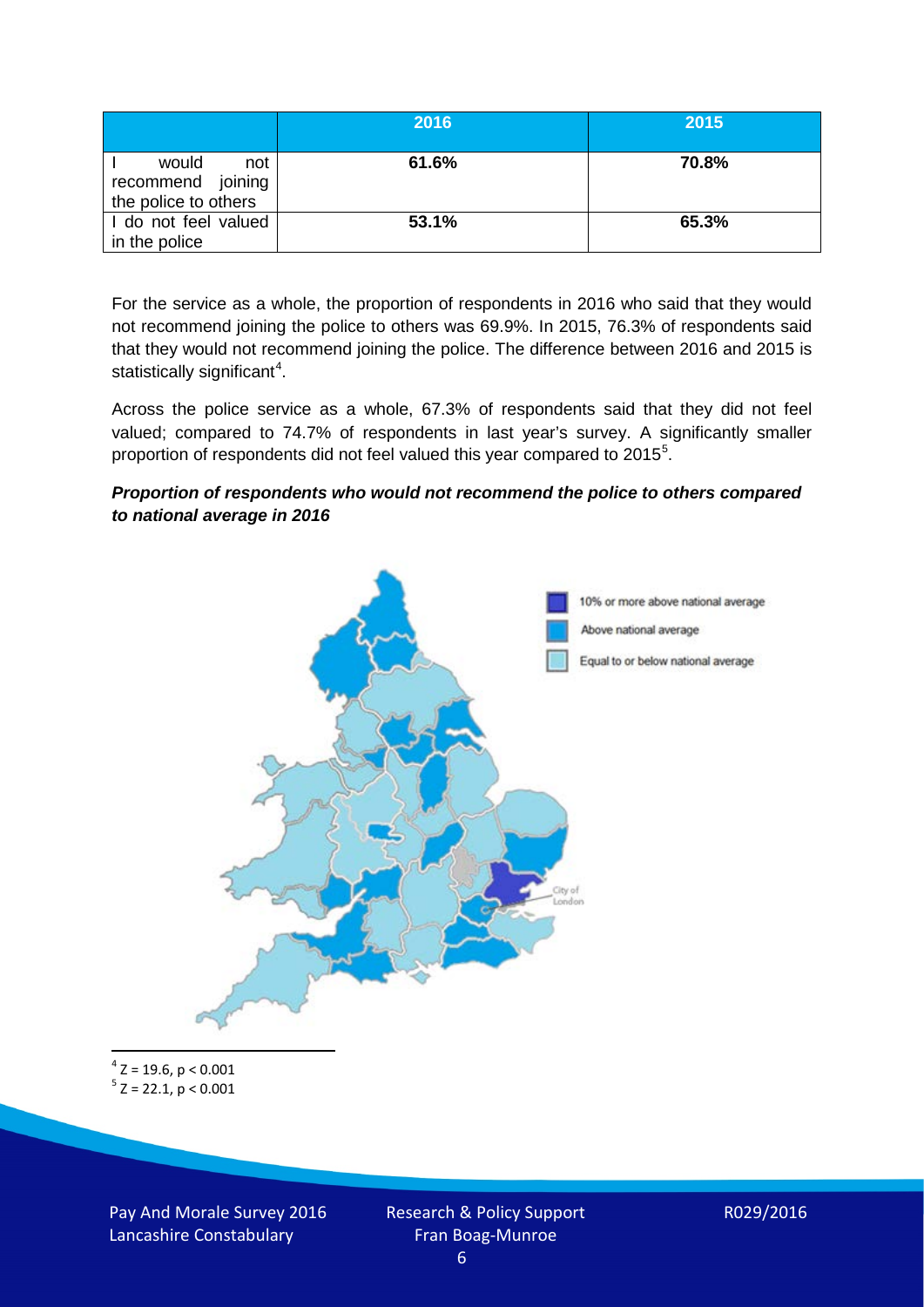|                                                           | 2016  | 2015  |
|-----------------------------------------------------------|-------|-------|
| would<br>not<br>recommend joining<br>the police to others | 61.6% | 70.8% |
| I do not feel valued<br>in the police                     | 53.1% | 65.3% |

For the service as a whole, the proportion of respondents in 2016 who said that they would not recommend joining the police to others was 69.9%. In 2015, 76.3% of respondents said that they would not recommend joining the police. The difference between 2016 and 2015 is statistically significant<sup>[4](#page-5-0)</sup>.

Across the police service as a whole, 67.3% of respondents said that they did not feel valued; compared to 74.7% of respondents in last year's survey. A significantly smaller proportion of respondents did not feel valued this year compared to 201[5](#page-5-1)<sup>5</sup>.

#### *Proportion of respondents who would not recommend the police to others compared to national average in 2016*



<span id="page-5-1"></span><span id="page-5-0"></span> $4$  Z = 19.6, p < 0.001  $5$  Z = 22.1, p < 0.001

Pay And Morale Survey 2016 Lancashire Constabulary

Research & Policy Support Fran Boag-Munroe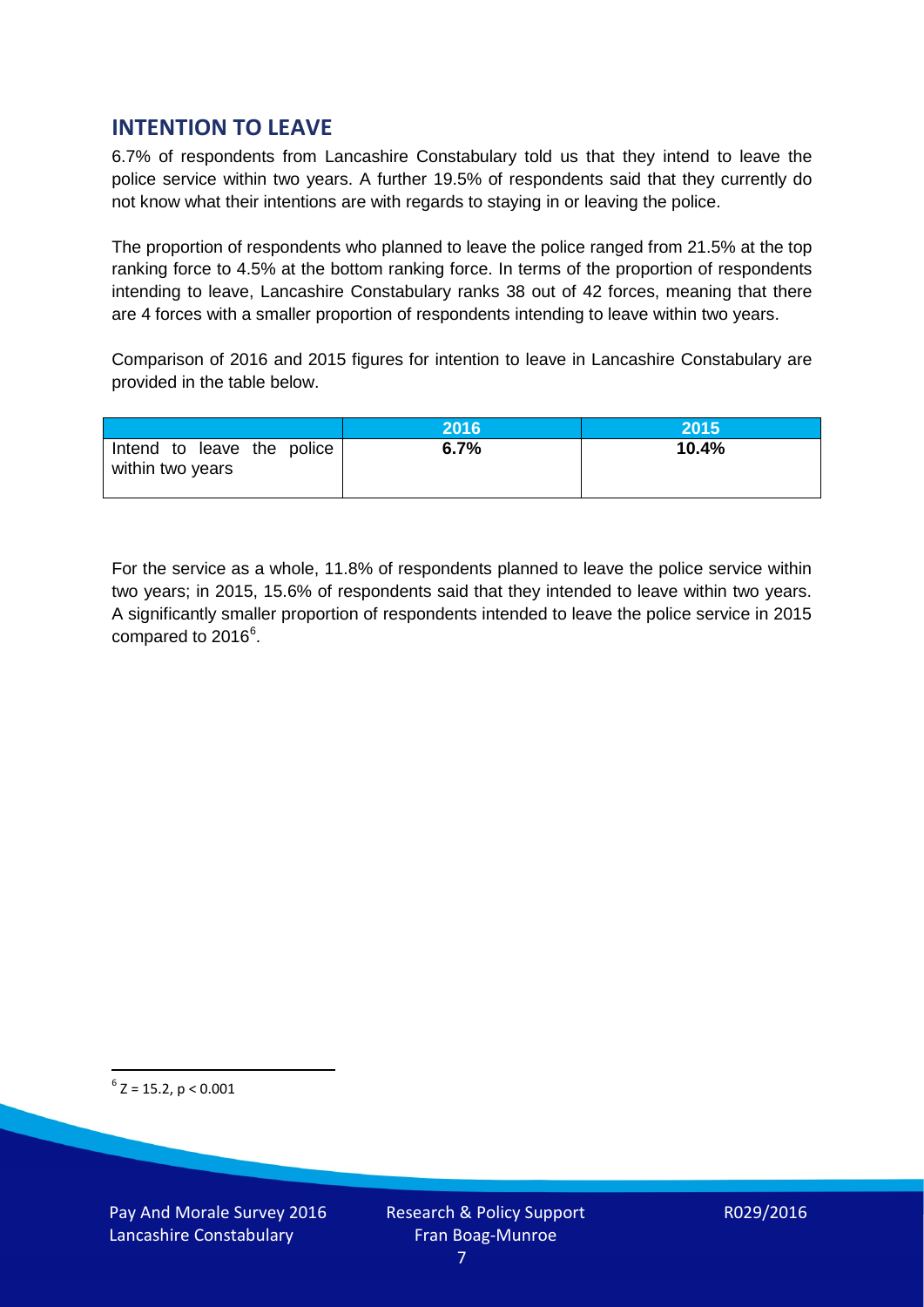## **INTENTION TO LEAVE**

6.7% of respondents from Lancashire Constabulary told us that they intend to leave the police service within two years. A further 19.5% of respondents said that they currently do not know what their intentions are with regards to staying in or leaving the police.

The proportion of respondents who planned to leave the police ranged from 21.5% at the top ranking force to 4.5% at the bottom ranking force. In terms of the proportion of respondents intending to leave, Lancashire Constabulary ranks 38 out of 42 forces, meaning that there are 4 forces with a smaller proportion of respondents intending to leave within two years.

Comparison of 2016 and 2015 figures for intention to leave in Lancashire Constabulary are provided in the table below.

|                                                | 2016 | <b>2015</b> |
|------------------------------------------------|------|-------------|
| Intend to leave the police<br>within two years | 6.7% | 10.4%       |

For the service as a whole, 11.8% of respondents planned to leave the police service within two years; in 2015, 15.6% of respondents said that they intended to leave within two years. A significantly smaller proportion of respondents intended to leave the police service in 2015 compared to 201[6](#page-6-0)<sup>6</sup>.

<span id="page-6-0"></span> $6$  Z = 15.2, p < 0.001

Pay And Morale Survey 2016 Lancashire Constabulary

Research & Policy Support Fran Boag-Munroe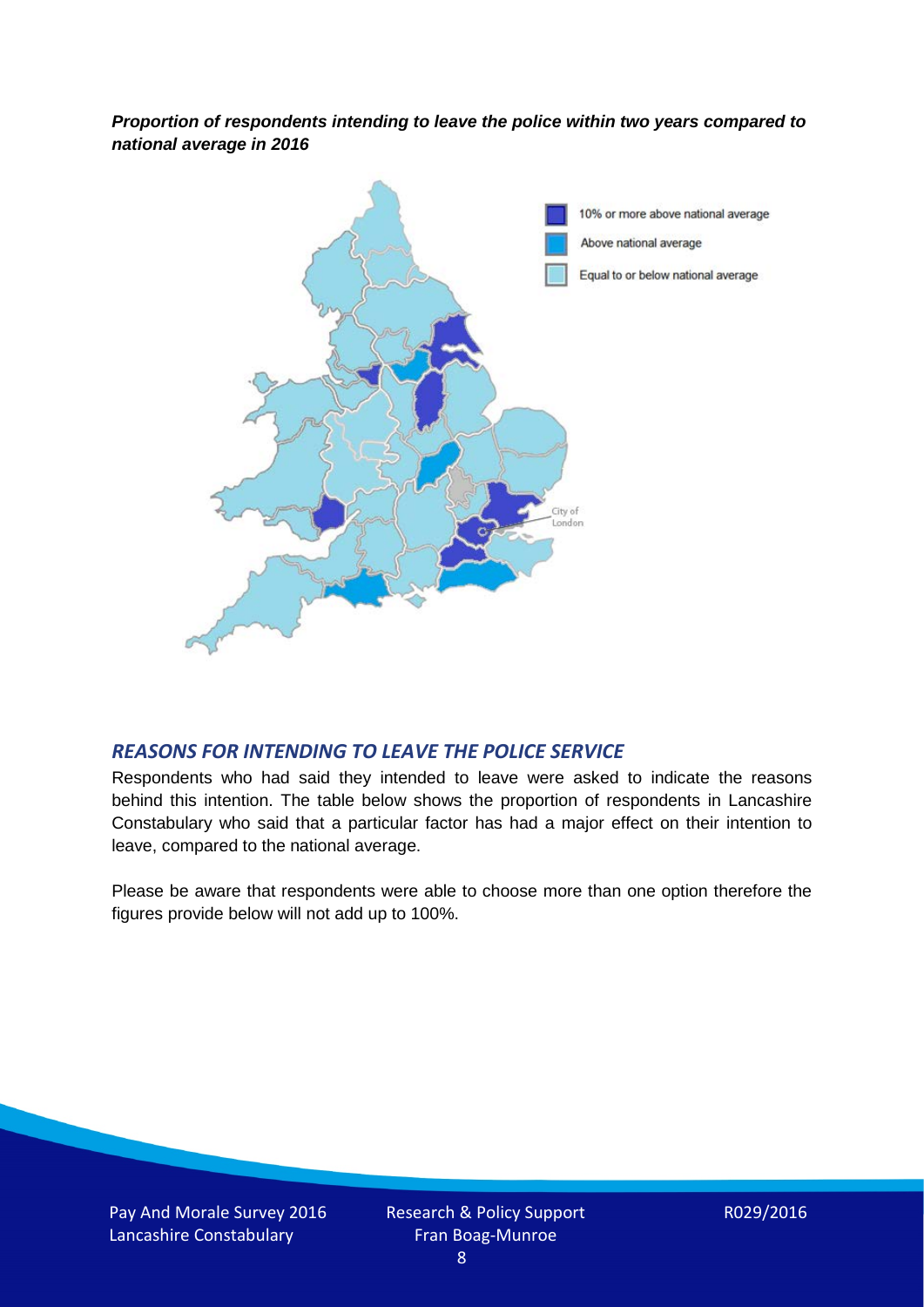*Proportion of respondents intending to leave the police within two years compared to national average in 2016*



### *REASONS FOR INTENDING TO LEAVE THE POLICE SERVICE*

Respondents who had said they intended to leave were asked to indicate the reasons behind this intention. The table below shows the proportion of respondents in Lancashire Constabulary who said that a particular factor has had a major effect on their intention to leave, compared to the national average.

Please be aware that respondents were able to choose more than one option therefore the figures provide below will not add up to 100%.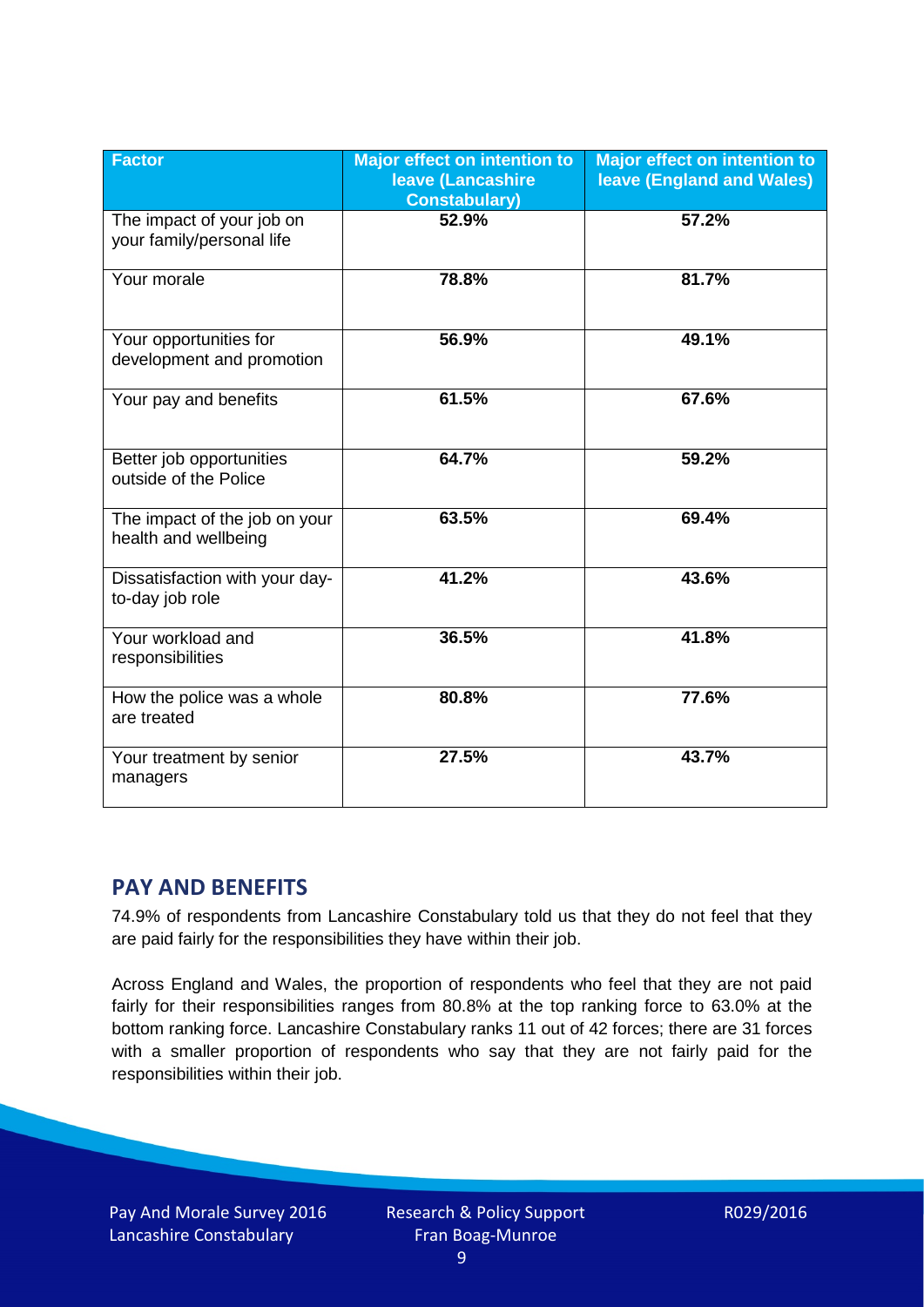| <b>Factor</b>                                          | <b>Major effect on intention to</b><br><b>leave (Lancashire</b><br><b>Constabulary)</b> | <b>Major effect on intention to</b><br>leave (England and Wales) |
|--------------------------------------------------------|-----------------------------------------------------------------------------------------|------------------------------------------------------------------|
| The impact of your job on<br>your family/personal life | 52.9%                                                                                   | 57.2%                                                            |
| Your morale                                            | 78.8%                                                                                   | 81.7%                                                            |
| Your opportunities for<br>development and promotion    | 56.9%                                                                                   | 49.1%                                                            |
| Your pay and benefits                                  | 61.5%                                                                                   | 67.6%                                                            |
| Better job opportunities<br>outside of the Police      | 64.7%                                                                                   | 59.2%                                                            |
| The impact of the job on your<br>health and wellbeing  | 63.5%                                                                                   | 69.4%                                                            |
| Dissatisfaction with your day-<br>to-day job role      | 41.2%                                                                                   | 43.6%                                                            |
| Your workload and<br>responsibilities                  | 36.5%                                                                                   | 41.8%                                                            |
| How the police was a whole<br>are treated              | 80.8%                                                                                   | 77.6%                                                            |
| Your treatment by senior<br>managers                   | 27.5%                                                                                   | 43.7%                                                            |

## **PAY AND BENEFITS**

74.9% of respondents from Lancashire Constabulary told us that they do not feel that they are paid fairly for the responsibilities they have within their job.

Across England and Wales, the proportion of respondents who feel that they are not paid fairly for their responsibilities ranges from 80.8% at the top ranking force to 63.0% at the bottom ranking force. Lancashire Constabulary ranks 11 out of 42 forces; there are 31 forces with a smaller proportion of respondents who say that they are not fairly paid for the responsibilities within their job.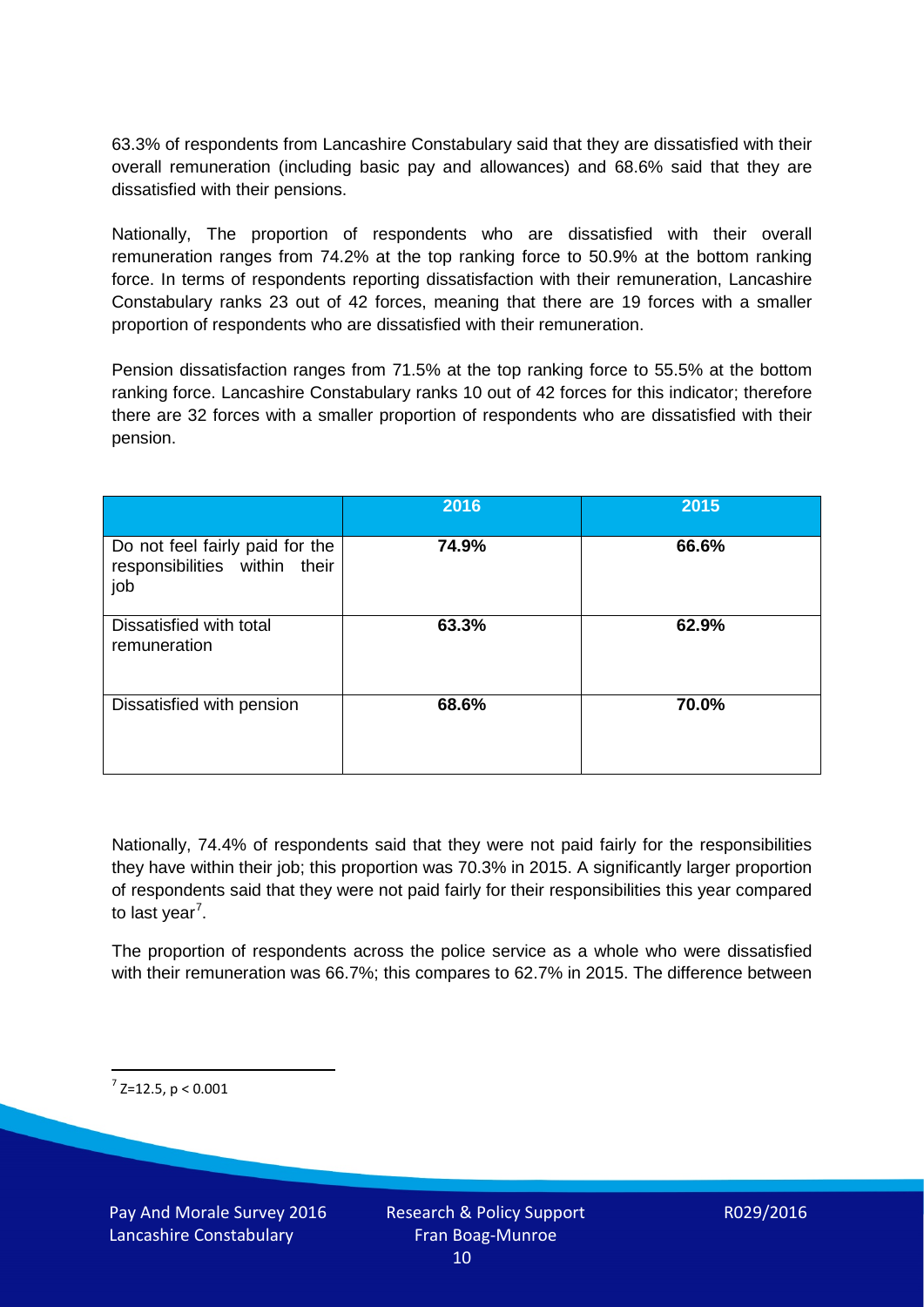63.3% of respondents from Lancashire Constabulary said that they are dissatisfied with their overall remuneration (including basic pay and allowances) and 68.6% said that they are dissatisfied with their pensions.

Nationally, The proportion of respondents who are dissatisfied with their overall remuneration ranges from 74.2% at the top ranking force to 50.9% at the bottom ranking force. In terms of respondents reporting dissatisfaction with their remuneration, Lancashire Constabulary ranks 23 out of 42 forces, meaning that there are 19 forces with a smaller proportion of respondents who are dissatisfied with their remuneration.

Pension dissatisfaction ranges from 71.5% at the top ranking force to 55.5% at the bottom ranking force. Lancashire Constabulary ranks 10 out of 42 forces for this indicator; therefore there are 32 forces with a smaller proportion of respondents who are dissatisfied with their pension.

|                                                                         | 2016  | 2015  |
|-------------------------------------------------------------------------|-------|-------|
| Do not feel fairly paid for the<br>responsibilities within their<br>job | 74.9% | 66.6% |
| Dissatisfied with total<br>remuneration                                 | 63.3% | 62.9% |
| Dissatisfied with pension                                               | 68.6% | 70.0% |

Nationally, 74.4% of respondents said that they were not paid fairly for the responsibilities they have within their job; this proportion was 70.3% in 2015. A significantly larger proportion of respondents said that they were not paid fairly for their responsibilities this year compared to last year<sup>[7](#page-9-0)</sup>.

The proportion of respondents across the police service as a whole who were dissatisfied with their remuneration was 66.7%; this compares to 62.7% in 2015. The difference between

<span id="page-9-0"></span> $7$  Z=12.5, p < 0.001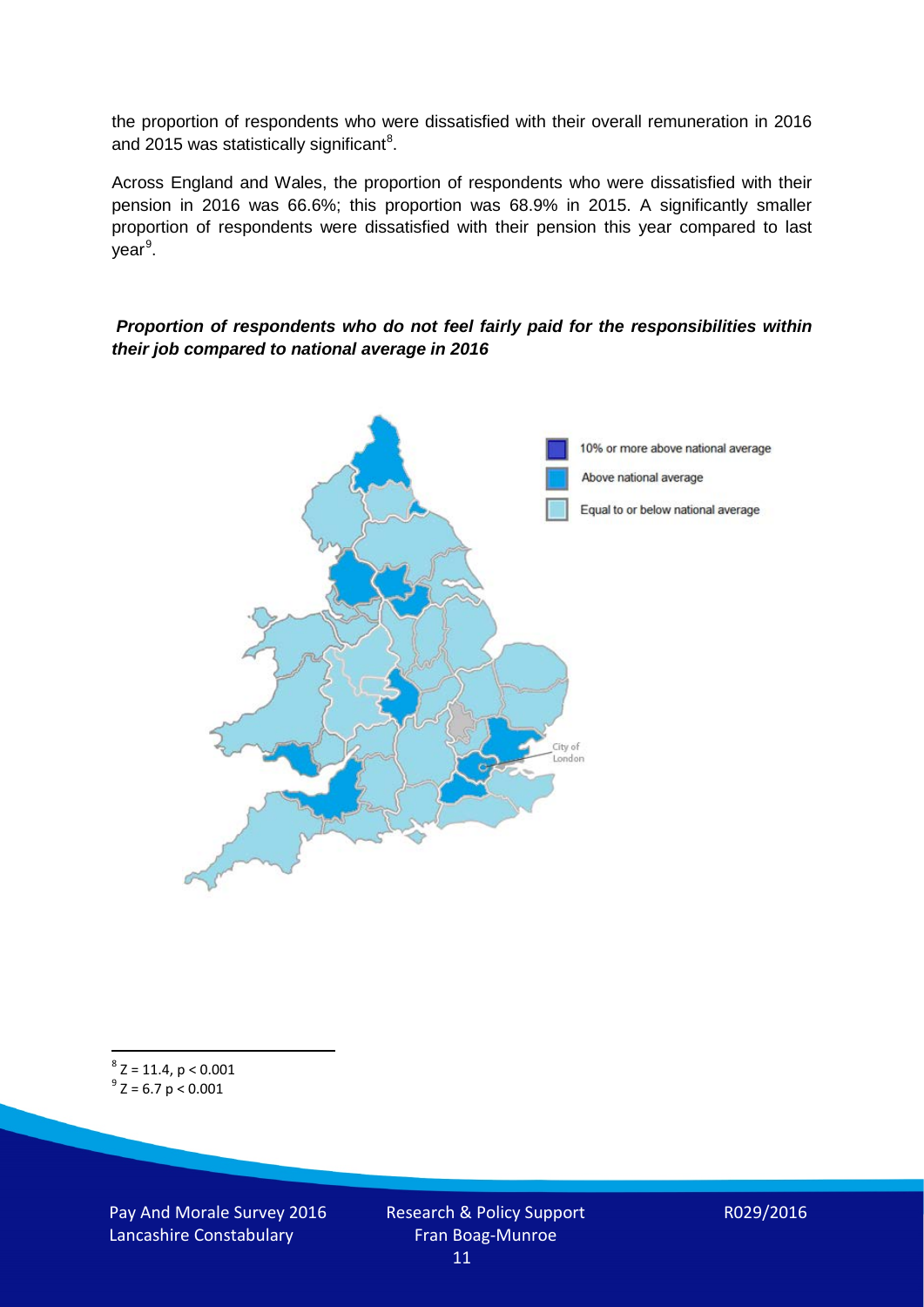the proportion of respondents who were dissatisfied with their overall remuneration in 2016 and 2015 was statistically significant<sup>[8](#page-10-0)</sup>.

Across England and Wales, the proportion of respondents who were dissatisfied with their pension in 2016 was 66.6%; this proportion was 68.9% in 2015. A significantly smaller proportion of respondents were dissatisfied with their pension this year compared to last year<sup>[9](#page-10-1)</sup>.

#### *Proportion of respondents who do not feel fairly paid for the responsibilities within their job compared to national average in 2016*



<span id="page-10-1"></span><span id="page-10-0"></span> $8$  Z = 11.4, p < 0.001  $^{9}$  Z = 6.7 p < 0.001

Pay And Morale Survey 2016 Lancashire Constabulary

Research & Policy Support Fran Boag-Munroe 11

R029/2016